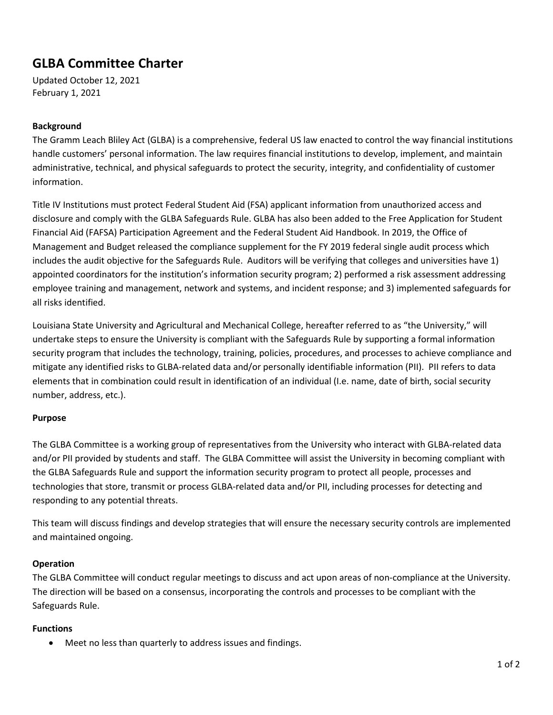# **GLBA Committee Charter**

Updated October 12, 2021 February 1, 2021

## **Background**

The Gramm Leach Bliley Act (GLBA) is a comprehensive, federal US law enacted to control the way financial institutions handle customers' personal information. The law requires financial institutions to develop, implement, and maintain administrative, technical, and physical safeguards to protect the security, integrity, and confidentiality of customer information.

Title IV Institutions must protect Federal Student Aid (FSA) applicant information from unauthorized access and disclosure and comply with the GLBA Safeguards Rule. GLBA has also been added to the Free Application for Student Financial Aid (FAFSA) Participation Agreement and the Federal Student Aid Handbook. In 2019, the Office of Management and Budget released the compliance supplement for the FY 2019 federal single audit process which includes the audit objective for the Safeguards Rule. Auditors will be verifying that colleges and universities have 1) appointed coordinators for the institution's information security program; 2) performed a risk assessment addressing employee training and management, network and systems, and incident response; and 3) implemented safeguards for all risks identified.

Louisiana State University and Agricultural and Mechanical College, hereafter referred to as "the University," will undertake steps to ensure the University is compliant with the Safeguards Rule by supporting a formal information security program that includes the technology, training, policies, procedures, and processes to achieve compliance and mitigate any identified risks to GLBA-related data and/or personally identifiable information (PII). PII refers to data elements that in combination could result in identification of an individual (I.e. name, date of birth, social security number, address, etc.).

### **Purpose**

The GLBA Committee is a working group of representatives from the University who interact with GLBA-related data and/or PII provided by students and staff. The GLBA Committee will assist the University in becoming compliant with the GLBA Safeguards Rule and support the information security program to protect all people, processes and technologies that store, transmit or process GLBA-related data and/or PII, including processes for detecting and responding to any potential threats.

This team will discuss findings and develop strategies that will ensure the necessary security controls are implemented and maintained ongoing.

### **Operation**

The GLBA Committee will conduct regular meetings to discuss and act upon areas of non-compliance at the University. The direction will be based on a consensus, incorporating the controls and processes to be compliant with the Safeguards Rule.

#### **Functions**

• Meet no less than quarterly to address issues and findings.